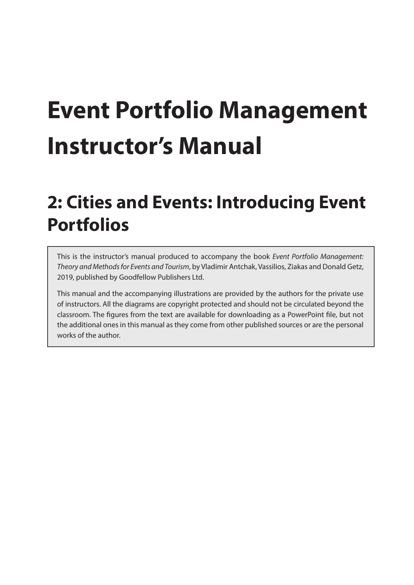# **Event Portfolio Management Instructor's Manual**

## **2: Cities and Events: Introducing Event Portfolios**

This is the instructor's manual produced to accompany the book *Event Portfolio Management: Theory and Methods for Events and Tourism*, by Vladimir Antchak, Vassilios, Ziakas and Donald Getz, 2019, published by Goodfellow Publishers Ltd.

This manual and the accompanying illustrations are provided by the authors for the private use of instructors. All the diagrams are copyright protected and should not be circulated beyond the classroom. The figures from the text are available for downloading as a PowerPoint file, but not the additional ones in this manual as they come from other published sources or are the personal works of the author.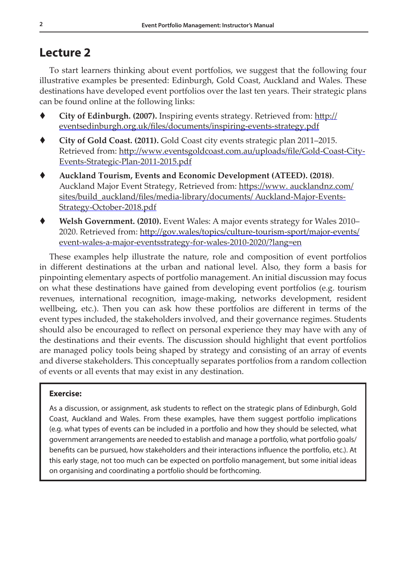## **Lecture 2**

To start learners thinking about event portfolios, we suggest that the following four illustrative examples be presented: Edinburgh, Gold Coast, Auckland and Wales. These destinations have developed event portfolios over the last ten years. Their strategic plans can be found online at the following links:

- **City of Edinburgh. (2007).** Inspiring events strategy. Retrieved from: [http://](http://eventsedinburgh.org.uk/files/documents/inspiring-events-strategy.pdf) [eventsedinburgh.org.uk/files/documents/inspiring-events-strategy.pdf](http://eventsedinburgh.org.uk/files/documents/inspiring-events-strategy.pdf)
- **City of Gold Coast. (2011).** Gold Coast city events strategic plan 2011–2015. Retrieved from: [http://www.eventsgoldcoast.com.au/uploads/file/Gold-Coast-City-](http://www.eventsgoldcoast.com.au/uploads/file/Gold-Coast-City-Events-Strategic-Plan-2011-2015.pdf)[Events-Strategic-Plan-2011-2015.pdf](http://www.eventsgoldcoast.com.au/uploads/file/Gold-Coast-City-Events-Strategic-Plan-2011-2015.pdf)
- **Auckland Tourism, Events and Economic Development (ATEED). (2018)**. Auckland Major Event Strategy, Retrieved from: https://www.aucklandnz.com/ sites/build\_auckland/files/media-library/documents/ Auckland-Major-Events-Strategy-October-2018.pdf
- **Welsh Government. (2010).** Event Wales: A major events strategy for Wales 2010– 2020. Retrieved from: [http://gov.wales/topics/culture-tourism-sport/major-events/](http://gov.wales/topics/culture-tourism-sport/major-events/event-wales-a-major-eventsstrategy-for-wales-2010-2020/?lang=en) [event-wales-a-major-eventsstrategy-for-wales-2010-2020/?lang=en](http://gov.wales/topics/culture-tourism-sport/major-events/event-wales-a-major-eventsstrategy-for-wales-2010-2020/?lang=en)

These examples help illustrate the nature, role and composition of event portfolios in different destinations at the urban and national level. Also, they form a basis for pinpointing elementary aspects of portfolio management. An initial discussion may focus on what these destinations have gained from developing event portfolios (e.g. tourism revenues, international recognition, image-making, networks development, resident wellbeing, etc.). Then you can ask how these portfolios are different in terms of the event types included, the stakeholders involved, and their governance regimes. Students should also be encouraged to reflect on personal experience they may have with any of the destinations and their events. The discussion should highlight that event portfolios are managed policy tools being shaped by strategy and consisting of an array of events and diverse stakeholders. This conceptually separates portfolios from a random collection of events or all events that may exist in any destination.

## **Exercise:**

As a discussion, or assignment, ask students to reflect on the strategic plans of Edinburgh, Gold Coast, Auckland and Wales. From these examples, have them suggest portfolio implications (e.g. what types of events can be included in a portfolio and how they should be selected, what government arrangements are needed to establish and manage a portfolio, what portfolio goals/ benefits can be pursued, how stakeholders and their interactions influence the portfolio, etc.). At this early stage, not too much can be expected on portfolio management, but some initial ideas on organising and coordinating a portfolio should be forthcoming.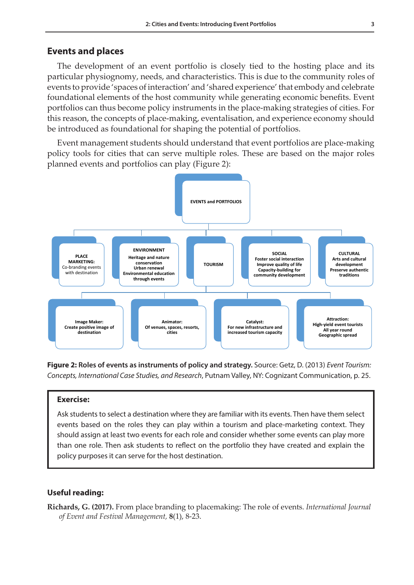## **Events and places**

The development of an event portfolio is closely tied to the hosting place and its particular physiognomy, needs, and characteristics. This is due to the community roles of events to provide 'spaces of interaction' and 'shared experience' that embody and celebrate foundational elements of the host community while generating economic benefits. Event portfolios can thus become policy instruments in the place-making strategies of cities. For this reason, the concepts of place-making, eventalisation, and experience economy should be introduced as foundational for shaping the potential of portfolios.

Event management students should understand that event portfolios are place-making policy tools for cities that can serve multiple roles. These are based on the major roles planned events and portfolios can play (Figure 2):



**Figure 2: Roles of events as instruments of policy and strategy.** Source: Getz, D. (2013) *Event Tourism: Concepts, International Case Studies, and Research*, Putnam Valley, NY: Cognizant Communication, p. 25.

## **Exercise:**

Ask students to select a destination where they are familiar with its events. Then have them select events based on the roles they can play within a tourism and place-marketing context. They should assign at least two events for each role and consider whether some events can play more than one role. Then ask students to reflect on the portfolio they have created and explain the policy purposes it can serve for the host destination.

#### **Useful reading:**

**Richards, G. (2017).** From place branding to placemaking: The role of events. *International Journal of Event and Festival Management,* **8**(1), 8-23.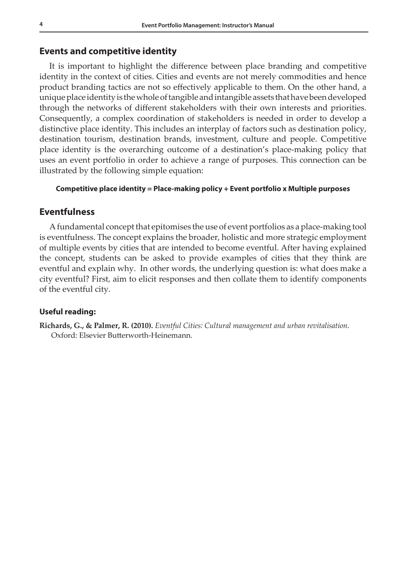## **Events and competitive identity**

It is important to highlight the difference between place branding and competitive identity in the context of cities. Cities and events are not merely commodities and hence product branding tactics are not so effectively applicable to them. On the other hand, a unique place identity is the whole of tangible and intangible assets that have been developed through the networks of different stakeholders with their own interests and priorities. Consequently, a complex coordination of stakeholders is needed in order to develop a distinctive place identity. This includes an interplay of factors such as destination policy, destination tourism, destination brands, investment, culture and people. Competitive place identity is the overarching outcome of a destination's place-making policy that uses an event portfolio in order to achieve a range of purposes. This connection can be illustrated by the following simple equation:

#### **Competitive place identity = Place-making policy + Event portfolio x Multiple purposes**

## **Eventfulness**

A fundamental concept that epitomises the use of event portfolios as a place-making tool is eventfulness. The concept explains the broader, holistic and more strategic employment of multiple events by cities that are intended to become eventful. After having explained the concept, students can be asked to provide examples of cities that they think are eventful and explain why. In other words, the underlying question is: what does make a city eventful? First, aim to elicit responses and then collate them to identify components of the eventful city.

## **Useful reading:**

**Richards, G., & Palmer, R. (2010).** *Eventful Cities: Cultural management and urban revitalisation*. Oxford: Elsevier Butterworth-Heinemann.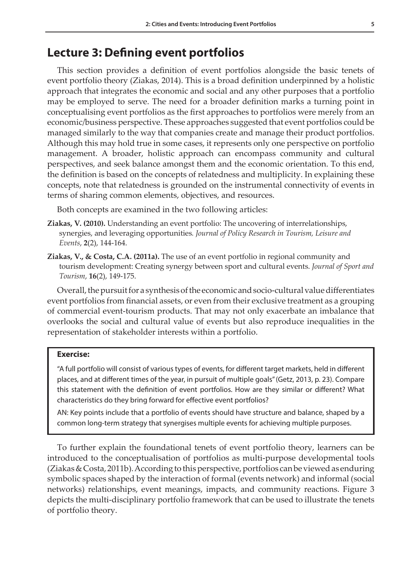## **Lecture 3: Defining event portfolios**

This section provides a definition of event portfolios alongside the basic tenets of event portfolio theory (Ziakas, 2014). This is a broad definition underpinned by a holistic approach that integrates the economic and social and any other purposes that a portfolio may be employed to serve. The need for a broader definition marks a turning point in conceptualising event portfolios as the first approaches to portfolios were merely from an economic/business perspective. These approaches suggested that event portfolios could be managed similarly to the way that companies create and manage their product portfolios. Although this may hold true in some cases, it represents only one perspective on portfolio management. A broader, holistic approach can encompass community and cultural perspectives, and seek balance amongst them and the economic orientation. To this end, the definition is based on the concepts of relatedness and multiplicity. In explaining these concepts, note that relatedness is grounded on the instrumental connectivity of events in terms of sharing common elements, objectives, and resources.

Both concepts are examined in the two following articles:

- **Ziakas, V. (2010).** Understanding an event portfolio: The uncovering of interrelationships, synergies, and leveraging opportunities*. Journal of Policy Research in Tourism, Leisure and Events*, **2**(2), 144-164.
- **Ziakas, V., & Costa, C.A. (2011a).** The use of an event portfolio in regional community and tourism development: Creating synergy between sport and cultural events. *Journal of Sport and Tourism*, **16**(2), 149-175.

Overall, the pursuit for a synthesis of the economic and socio-cultural value differentiates event portfolios from financial assets, or even from their exclusive treatment as a grouping of commercial event-tourism products. That may not only exacerbate an imbalance that overlooks the social and cultural value of events but also reproduce inequalities in the representation of stakeholder interests within a portfolio.

### **Exercise:**

"A full portfolio will consist of various types of events, for different target markets, held in different places, and at different times of the year, in pursuit of multiple goals" (Getz, 2013, p. 23). Compare this statement with the definition of event portfolios. How are they similar or different? What characteristics do they bring forward for effective event portfolios?

AN: Key points include that a portfolio of events should have structure and balance, shaped by a common long-term strategy that synergises multiple events for achieving multiple purposes.

To further explain the foundational tenets of event portfolio theory, learners can be introduced to the conceptualisation of portfolios as multi-purpose developmental tools (Ziakas & Costa, 2011b). According to this perspective, portfolios can be viewed as enduring symbolic spaces shaped by the interaction of formal (events network) and informal (social networks) relationships, event meanings, impacts, and community reactions. Figure 3 depicts the multi-disciplinary portfolio framework that can be used to illustrate the tenets of portfolio theory.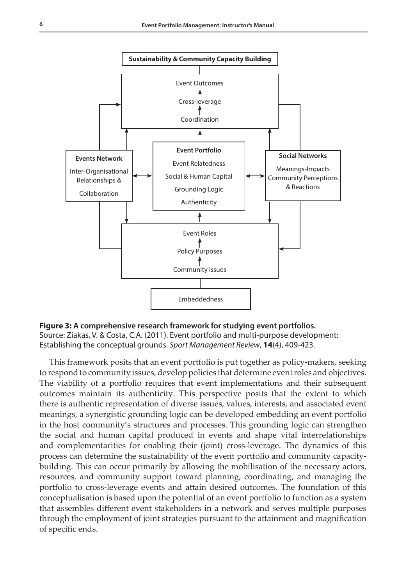



This framework posits that an event portfolio is put together as policy-makers, seeking to respond to community issues, develop policies that determine event roles and objectives. The viability of a portfolio requires that event implementations and their subsequent outcomes maintain its authenticity. This perspective posits that the extent to which there is authentic representation of diverse issues, values, interests, and associated event meanings, a synergistic grounding logic can be developed embedding an event portfolio in the host community's structures and processes. This grounding logic can strengthen the social and human capital produced in events and shape vital interrelationships and complementarities for enabling their (joint) cross-leverage. The dynamics of this process can determine the sustainability of the event portfolio and community capacitybuilding. This can occur primarily by allowing the mobilisation of the necessary actors, resources, and community support toward planning, coordinating, and managing the portfolio to cross-leverage events and attain desired outcomes. The foundation of this conceptualisation is based upon the potential of an event portfolio to function as a system that assembles different event stakeholders in a network and serves multiple purposes through the employment of joint strategies pursuant to the attainment and magnification of specific ends.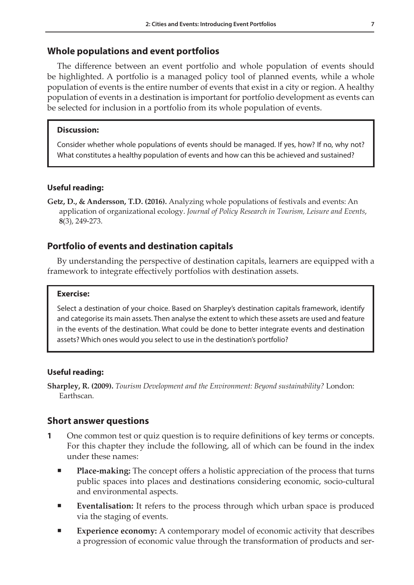## **Whole populations and event portfolios**

The difference between an event portfolio and whole population of events should be highlighted. A portfolio is a managed policy tool of planned events, while a whole population of events is the entire number of events that exist in a city or region. A healthy population of events in a destination is important for portfolio development as events can be selected for inclusion in a portfolio from its whole population of events.

## **Discussion:**

Consider whether whole populations of events should be managed. If yes, how? If no, why not? What constitutes a healthy population of events and how can this be achieved and sustained?

## **Useful reading:**

**Getz, D., & Andersson, T.D. (2016).** Analyzing whole populations of festivals and events: An application of organizational ecology. *Journal of Policy Research in Tourism, Leisure and Events*, **8**(3), 249-273.

## **Portfolio of events and destination capitals**

By understanding the perspective of destination capitals, learners are equipped with a framework to integrate effectively portfolios with destination assets.

#### **Exercise:**

Select a destination of your choice. Based on Sharpley's destination capitals framework, identify and categorise its main assets. Then analyse the extent to which these assets are used and feature in the events of the destination. What could be done to better integrate events and destination assets? Which ones would you select to use in the destination's portfolio?

## **Useful reading:**

**Sharpley, R. (2009).** *Tourism Development and the Environment: Beyond sustainability?* London: Earthscan.

## **Short answer questions**

- **1** One common test or quiz question is to require definitions of key terms or concepts. For this chapter they include the following, all of which can be found in the index under these names:
	- **Place-making:** The concept offers a holistic appreciation of the process that turns public spaces into places and destinations considering economic, socio-cultural and environmental aspects.
	- **Eventalisation:** It refers to the process through which urban space is produced via the staging of events.
	- **Experience economy:** A contemporary model of economic activity that describes a progression of economic value through the transformation of products and ser-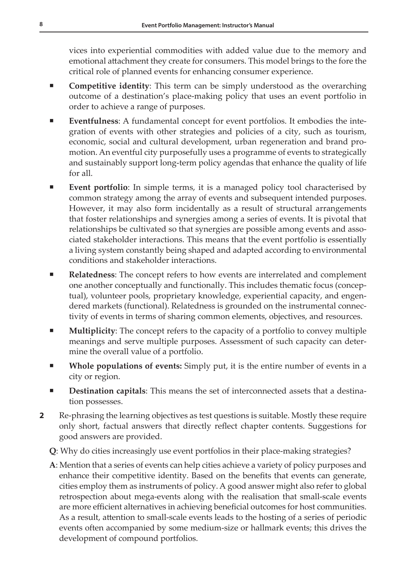vices into experiential commodities with added value due to the memory and emotional attachment they create for consumers. This model brings to the fore the critical role of planned events for enhancing consumer experience.

- **Competitive identity**: This term can be simply understood as the overarching outcome of a destination's place-making policy that uses an event portfolio in order to achieve a range of purposes.
- **Eventfulness**: A fundamental concept for event portfolios. It embodies the integration of events with other strategies and policies of a city, such as tourism, economic, social and cultural development, urban regeneration and brand promotion. An eventful city purposefully uses a programme of events to strategically and sustainably support long-term policy agendas that enhance the quality of life for all.
- **Event portfolio**: In simple terms, it is a managed policy tool characterised by common strategy among the array of events and subsequent intended purposes. However, it may also form incidentally as a result of structural arrangements that foster relationships and synergies among a series of events. It is pivotal that relationships be cultivated so that synergies are possible among events and associated stakeholder interactions. This means that the event portfolio is essentially a living system constantly being shaped and adapted according to environmental conditions and stakeholder interactions.
- **Relatedness**: The concept refers to how events are interrelated and complement one another conceptually and functionally. This includes thematic focus (conceptual), volunteer pools, proprietary knowledge, experiential capacity, and engendered markets (functional). Relatedness is grounded on the instrumental connectivity of events in terms of sharing common elements, objectives, and resources.
- **Multiplicity**: The concept refers to the capacity of a portfolio to convey multiple meanings and serve multiple purposes. Assessment of such capacity can determine the overall value of a portfolio.
- **Whole populations of events:** Simply put, it is the entire number of events in a city or region.
- **Destination capitals**: This means the set of interconnected assets that a destination possesses.
- **2** Re-phrasing the learning objectives as test questions is suitable. Mostly these require only short, factual answers that directly reflect chapter contents. Suggestions for good answers are provided.
	- **Q**: Why do cities increasingly use event portfolios in their place-making strategies?
	- **A**: Mention that a series of events can help cities achieve a variety of policy purposes and enhance their competitive identity. Based on the benefits that events can generate, cities employ them as instruments of policy. A good answer might also refer to global retrospection about mega-events along with the realisation that small-scale events are more efficient alternatives in achieving beneficial outcomes for host communities. As a result, attention to small-scale events leads to the hosting of a series of periodic events often accompanied by some medium-size or hallmark events; this drives the development of compound portfolios.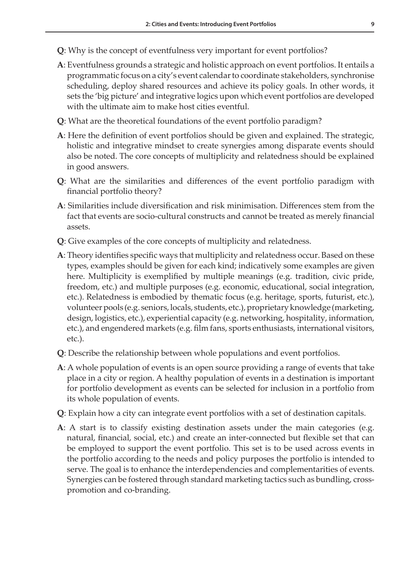- **Q**: Why is the concept of eventfulness very important for event portfolios?
- **A**: Eventfulness grounds a strategic and holistic approach on event portfolios. It entails a programmatic focus on a city's event calendar to coordinate stakeholders, synchronise scheduling, deploy shared resources and achieve its policy goals. In other words, it sets the 'big picture' and integrative logics upon which event portfolios are developed with the ultimate aim to make host cities eventful.
- **Q**: What are the theoretical foundations of the event portfolio paradigm?
- **A**: Here the definition of event portfolios should be given and explained. The strategic, holistic and integrative mindset to create synergies among disparate events should also be noted. The core concepts of multiplicity and relatedness should be explained in good answers.
- **Q**: What are the similarities and differences of the event portfolio paradigm with financial portfolio theory?
- **A**: Similarities include diversification and risk minimisation. Differences stem from the fact that events are socio-cultural constructs and cannot be treated as merely financial assets.
- **Q**: Give examples of the core concepts of multiplicity and relatedness.
- **A**: Theory identifies specific ways that multiplicity and relatedness occur. Based on these types, examples should be given for each kind; indicatively some examples are given here. Multiplicity is exemplified by multiple meanings (e.g. tradition, civic pride, freedom, etc.) and multiple purposes (e.g. economic, educational, social integration, etc.). Relatedness is embodied by thematic focus (e.g. heritage, sports, futurist, etc.), volunteer pools (e.g. seniors, locals, students, etc.), proprietary knowledge (marketing, design, logistics, etc.), experiential capacity (e.g. networking, hospitality, information, etc.), and engendered markets (e.g. film fans, sports enthusiasts, international visitors, etc.).
- **Q**: Describe the relationship between whole populations and event portfolios.
- **A**: A whole population of events is an open source providing a range of events that take place in a city or region. A healthy population of events in a destination is important for portfolio development as events can be selected for inclusion in a portfolio from its whole population of events.
- **Q**: Explain how a city can integrate event portfolios with a set of destination capitals.
- **A**: A start is to classify existing destination assets under the main categories (e.g. natural, financial, social, etc.) and create an inter-connected but flexible set that can be employed to support the event portfolio. This set is to be used across events in the portfolio according to the needs and policy purposes the portfolio is intended to serve. The goal is to enhance the interdependencies and complementarities of events. Synergies can be fostered through standard marketing tactics such as bundling, crosspromotion and co-branding.